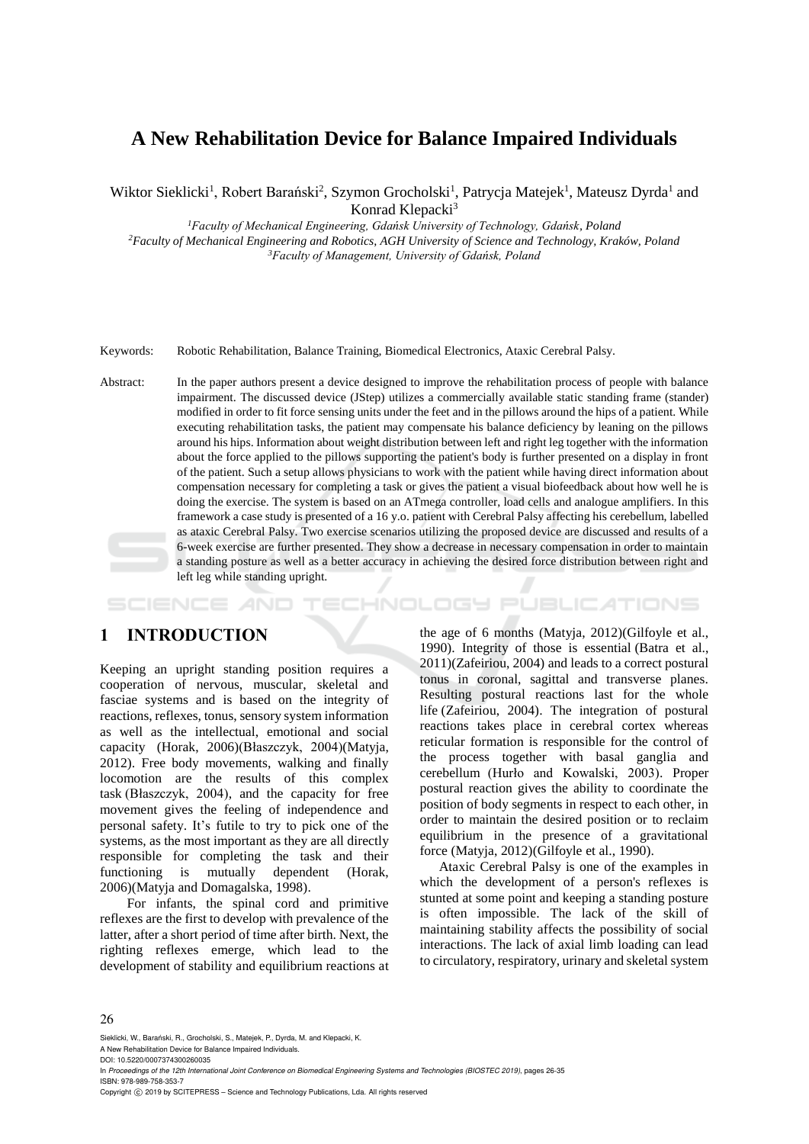# **A New Rehabilitation Device for Balance Impaired Individuals**

Wiktor Sieklicki<sup>1</sup>, Robert Barański<sup>2</sup>, Szymon Grocholski<sup>1</sup>, Patrycja Matejek<sup>1</sup>, Mateusz Dyrda<sup>1</sup> and Konrad Klepacki<sup>3</sup>

*<sup>1</sup>Faculty of Mechanical Engineering, Gdańsk University of Technology, Gdańsk, Poland* 

*<sup>2</sup>Faculty of Mechanical Engineering and Robotics, AGH University of Science and Technology, Kraków, Poland <sup>3</sup>Faculty of Management, University of Gdańsk, Poland*

Keywords: Robotic Rehabilitation, Balance Training, Biomedical Electronics, Ataxic Cerebral Palsy.

Abstract: In the paper authors present a device designed to improve the rehabilitation process of people with balance impairment. The discussed device (JStep) utilizes a commercially available static standing frame (stander) modified in order to fit force sensing units under the feet and in the pillows around the hips of a patient. While executing rehabilitation tasks, the patient may compensate his balance deficiency by leaning on the pillows around his hips. Information about weight distribution between left and right leg together with the information about the force applied to the pillows supporting the patient's body is further presented on a display in front of the patient. Such a setup allows physicians to work with the patient while having direct information about compensation necessary for completing a task or gives the patient a visual biofeedback about how well he is doing the exercise. The system is based on an ATmega controller, load cells and analogue amplifiers. In this framework a case study is presented of a 16 y.o. patient with Cerebral Palsy affecting his cerebellum, labelled as ataxic Cerebral Palsy. Two exercise scenarios utilizing the proposed device are discussed and results of a 6-week exercise are further presented. They show a decrease in necessary compensation in order to maintain a standing posture as well as a better accuracy in achieving the desired force distribution between right and left leg while standing upright.

HNOLOGY PUBLIC ATIONS

## **1 INTRODUCTION**

Keeping an upright standing position requires a cooperation of nervous, muscular, skeletal and fasciae systems and is based on the integrity of reactions, reflexes, tonus, sensory system information as well as the intellectual, emotional and social capacity (Horak, 2006)(Błaszczyk, 2004)(Matyja, 2012). Free body movements, walking and finally locomotion are the results of this complex task (Błaszczyk, 2004), and the capacity for free movement gives the feeling of independence and personal safety. It's futile to try to pick one of the systems, as the most important as they are all directly responsible for completing the task and their functioning is mutually dependent (Horak, 2006)(Matyja and Domagalska, 1998).

For infants, the spinal cord and primitive reflexes are the first to develop with prevalence of the latter, after a short period of time after birth. Next, the righting reflexes emerge, which lead to the development of stability and equilibrium reactions at

the age of 6 months (Matyja, 2012)(Gilfoyle et al., 1990). Integrity of those is essential (Batra et al., 2011)(Zafeiriou, 2004) and leads to a correct postural tonus in coronal, sagittal and transverse planes. Resulting postural reactions last for the whole life (Zafeiriou, 2004). The integration of postural reactions takes place in cerebral cortex whereas reticular formation is responsible for the control of the process together with basal ganglia and cerebellum (Hurło and Kowalski, 2003). Proper postural reaction gives the ability to coordinate the position of body segments in respect to each other, in order to maintain the desired position or to reclaim equilibrium in the presence of a gravitational force (Matyja, 2012)(Gilfoyle et al., 1990).

Ataxic Cerebral Palsy is one of the examples in which the development of a person's reflexes is stunted at some point and keeping a standing posture is often impossible. The lack of the skill of maintaining stability affects the possibility of social interactions. The lack of axial limb loading can lead to circulatory, respiratory, urinary and skeletal system

#### 26

Sieklicki, W., Barański, R., Grocholski, S., Matejek, P., Dyrda, M. and Klepacki, K. A New Rehabilitation Device for Balance Impaired Individuals.

DOI: 10.5220/0007374300260035

In *Proceedings of the 12th International Joint Conference on Biomedical Engineering Systems and Technologies (BIOSTEC 2019)*, pages 26-35 ISBN: 978-989-758-353-7

Copyright © 2019 by SCITEPRESS - Science and Technology Publications, Lda. All rights reserved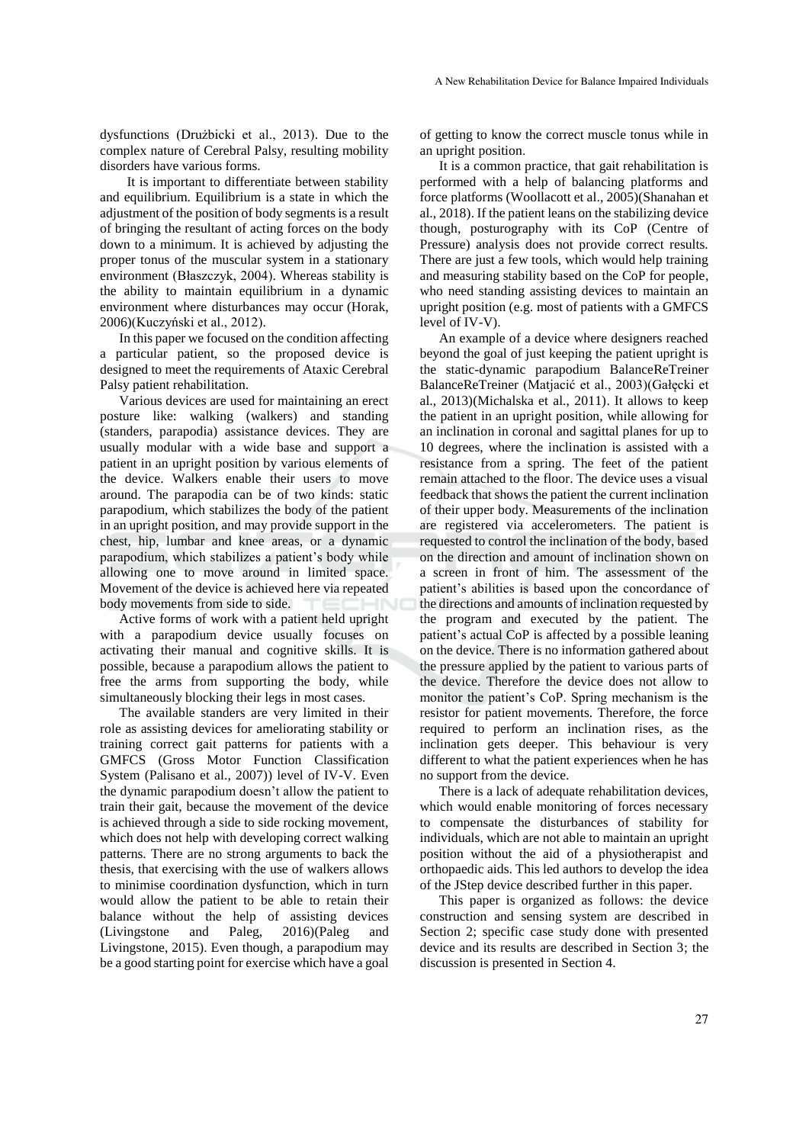dysfunctions (Drużbicki et al., 2013). Due to the complex nature of Cerebral Palsy, resulting mobility disorders have various forms.

It is important to differentiate between stability and equilibrium. Equilibrium is a state in which the adjustment of the position of body segments is a result of bringing the resultant of acting forces on the body down to a minimum. It is achieved by adjusting the proper tonus of the muscular system in a stationary environment (Błaszczyk, 2004). Whereas stability is the ability to maintain equilibrium in a dynamic environment where disturbances may occur (Horak, 2006)(Kuczyński et al., 2012).

In this paper we focused on the condition affecting a particular patient, so the proposed device is designed to meet the requirements of Ataxic Cerebral Palsy patient rehabilitation.

Various devices are used for maintaining an erect posture like: walking (walkers) and standing (standers, parapodia) assistance devices. They are usually modular with a wide base and support a patient in an upright position by various elements of the device. Walkers enable their users to move around. The parapodia can be of two kinds: static parapodium, which stabilizes the body of the patient in an upright position, and may provide support in the chest, hip, lumbar and knee areas, or a dynamic parapodium, which stabilizes a patient's body while allowing one to move around in limited space. Movement of the device is achieved here via repeated body movements from side to side.

Active forms of work with a patient held upright with a parapodium device usually focuses on activating their manual and cognitive skills. It is possible, because a parapodium allows the patient to free the arms from supporting the body, while simultaneously blocking their legs in most cases.

The available standers are very limited in their role as assisting devices for ameliorating stability or training correct gait patterns for patients with a GMFCS (Gross Motor Function Classification System (Palisano et al., 2007)) level of IV-V. Even the dynamic parapodium doesn't allow the patient to train their gait, because the movement of the device is achieved through a side to side rocking movement, which does not help with developing correct walking patterns. There are no strong arguments to back the thesis, that exercising with the use of walkers allows to minimise coordination dysfunction, which in turn would allow the patient to be able to retain their balance without the help of assisting devices (Livingstone and Paleg, 2016)(Paleg and Livingstone, 2015). Even though, a parapodium may be a good starting point for exercise which have a goal

of getting to know the correct muscle tonus while in an upright position.

It is a common practice, that gait rehabilitation is performed with a help of balancing platforms and force platforms (Woollacott et al., 2005)(Shanahan et al., 2018). If the patient leans on the stabilizing device though, posturography with its CoP (Centre of Pressure) analysis does not provide correct results. There are just a few tools, which would help training and measuring stability based on the CoP for people, who need standing assisting devices to maintain an upright position (e.g. most of patients with a GMFCS level of IV-V).

An example of a device where designers reached beyond the goal of just keeping the patient upright is the static-dynamic parapodium BalanceReTreiner BalanceReTreiner (Matjacić et al., 2003)(Gałęcki et al., 2013)(Michalska et al., 2011). It allows to keep the patient in an upright position, while allowing for an inclination in coronal and sagittal planes for up to 10 degrees, where the inclination is assisted with a resistance from a spring. The feet of the patient remain attached to the floor. The device uses a visual feedback that shows the patient the current inclination of their upper body. Measurements of the inclination are registered via accelerometers. The patient is requested to control the inclination of the body, based on the direction and amount of inclination shown on a screen in front of him. The assessment of the patient's abilities is based upon the concordance of the directions and amounts of inclination requested by the program and executed by the patient. The patient's actual CoP is affected by a possible leaning on the device. There is no information gathered about the pressure applied by the patient to various parts of the device. Therefore the device does not allow to monitor the patient's CoP. Spring mechanism is the resistor for patient movements. Therefore, the force required to perform an inclination rises, as the inclination gets deeper. This behaviour is very different to what the patient experiences when he has no support from the device.

There is a lack of adequate rehabilitation devices, which would enable monitoring of forces necessary to compensate the disturbances of stability for individuals, which are not able to maintain an upright position without the aid of a physiotherapist and orthopaedic aids. This led authors to develop the idea of the JStep device described further in this paper.

This paper is organized as follows: the device construction and sensing system are described in Section 2; specific case study done with presented device and its results are described in Section 3; the discussion is presented in Section 4.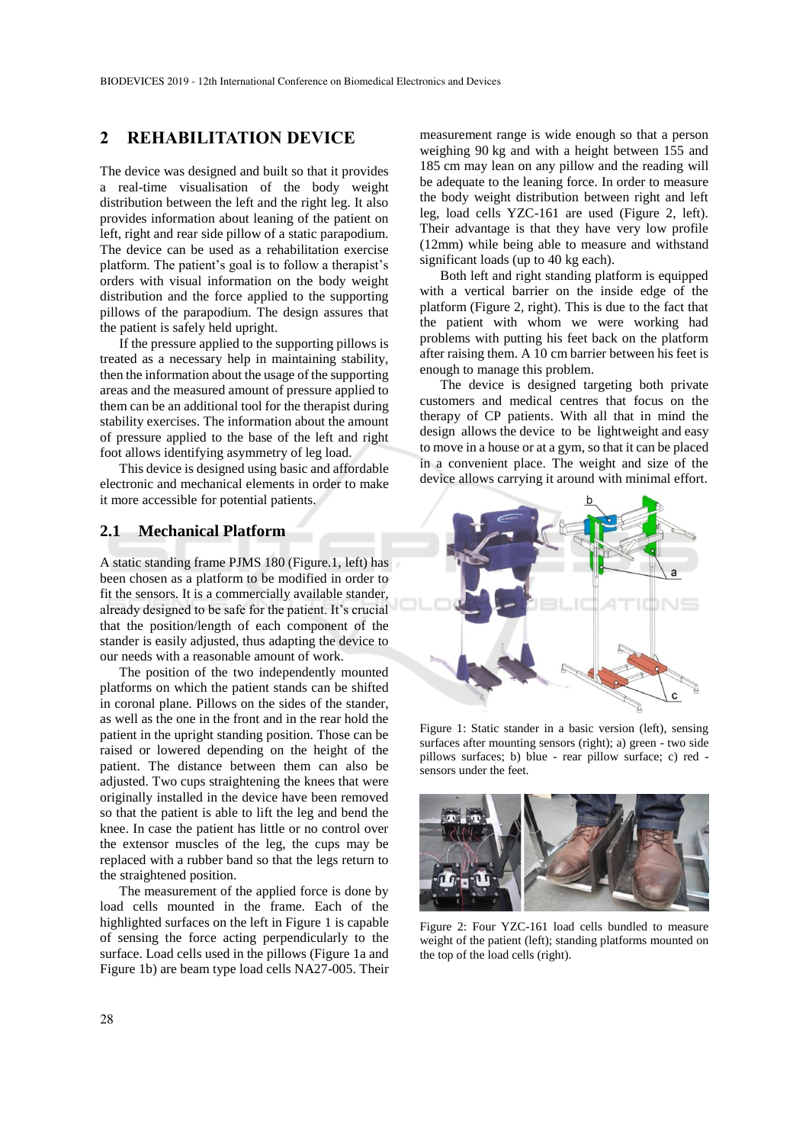### **2 REHABILITATION DEVICE**

The device was designed and built so that it provides a real-time visualisation of the body weight distribution between the left and the right leg. It also provides information about leaning of the patient on left, right and rear side pillow of a static parapodium. The device can be used as a rehabilitation exercise platform. The patient's goal is to follow a therapist's orders with visual information on the body weight distribution and the force applied to the supporting pillows of the parapodium. The design assures that the patient is safely held upright.

If the pressure applied to the supporting pillows is treated as a necessary help in maintaining stability, then the information about the usage of the supporting areas and the measured amount of pressure applied to them can be an additional tool for the therapist during stability exercises. The information about the amount of pressure applied to the base of the left and right foot allows identifying asymmetry of leg load.

This device is designed using basic and affordable electronic and mechanical elements in order to make it more accessible for potential patients.

### **2.1 Mechanical Platform**

A static standing frame PJMS 180 (Figure.1, left) has been chosen as a platform to be modified in order to fit the sensors. It is a commercially available stander, already designed to be safe for the patient. It's crucial that the position/length of each component of the stander is easily adjusted, thus adapting the device to our needs with a reasonable amount of work.

The position of the two independently mounted platforms on which the patient stands can be shifted in coronal plane. Pillows on the sides of the stander, as well as the one in the front and in the rear hold the patient in the upright standing position. Those can be raised or lowered depending on the height of the patient. The distance between them can also be adjusted. Two cups straightening the knees that were originally installed in the device have been removed so that the patient is able to lift the leg and bend the knee. In case the patient has little or no control over the extensor muscles of the leg, the cups may be replaced with a rubber band so that the legs return to the straightened position.

The measurement of the applied force is done by load cells mounted in the frame. Each of the highlighted surfaces on the left in Figure 1 is capable of sensing the force acting perpendicularly to the surface. Load cells used in the pillows (Figure 1a and Figure 1b) are beam type load cells NA27-005. Their

measurement range is wide enough so that a person weighing 90 kg and with a height between 155 and 185 cm may lean on any pillow and the reading will be adequate to the leaning force. In order to measure the body weight distribution between right and left leg, load cells YZC-161 are used (Figure 2, left). Their advantage is that they have very low profile (12mm) while being able to measure and withstand significant loads (up to 40 kg each).

Both left and right standing platform is equipped with a vertical barrier on the inside edge of the platform (Figure 2, right). This is due to the fact that the patient with whom we were working had problems with putting his feet back on the platform after raising them. A 10 cm barrier between his feet is enough to manage this problem.

The device is designed targeting both private customers and medical centres that focus on the therapy of CP patients. With all that in mind the design allows the device to be lightweight and easy to move in a house or at a gym, so that it can be placed in a convenient place. The weight and size of the device allows carrying it around with minimal effort.



Figure 1: Static stander in a basic version (left), sensing surfaces after mounting sensors (right); a) green - two side pillows surfaces; b) blue - rear pillow surface; c) red sensors under the feet.



Figure 2: Four YZC-161 load cells bundled to measure weight of the patient (left); standing platforms mounted on the top of the load cells (right).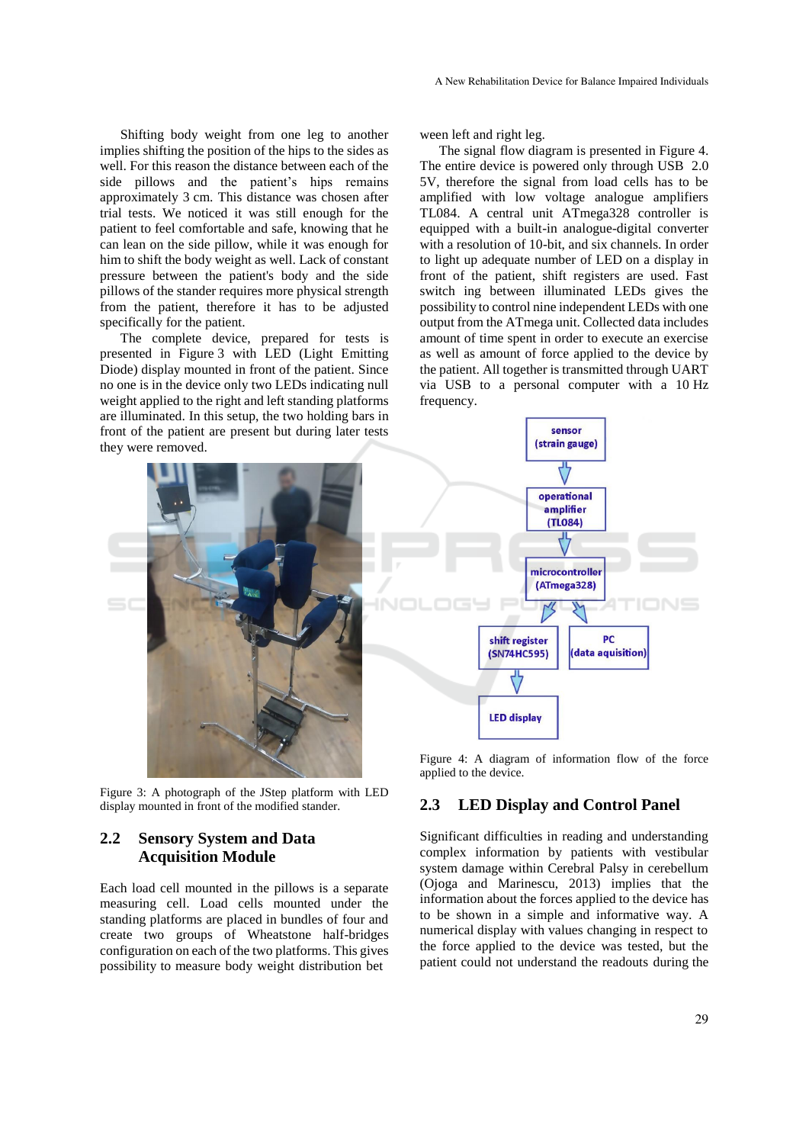Shifting body weight from one leg to another implies shifting the position of the hips to the sides as well. For this reason the distance between each of the side pillows and the patient's hips remains approximately 3 cm. This distance was chosen after trial tests. We noticed it was still enough for the patient to feel comfortable and safe, knowing that he can lean on the side pillow, while it was enough for him to shift the body weight as well. Lack of constant pressure between the patient's body and the side pillows of the stander requires more physical strength from the patient, therefore it has to be adjusted specifically for the patient.

The complete device, prepared for tests is presented in Figure 3 with LED (Light Emitting Diode) display mounted in front of the patient. Since no one is in the device only two LEDs indicating null weight applied to the right and left standing platforms are illuminated. In this setup, the two holding bars in front of the patient are present but during later tests they were removed.



Figure 3: A photograph of the JStep platform with LED display mounted in front of the modified stander.

### **2.2 Sensory System and Data Acquisition Module**

Each load cell mounted in the pillows is a separate measuring cell. Load cells mounted under the standing platforms are placed in bundles of four and create two groups of Wheatstone half-bridges configuration on each of the two platforms. This gives possibility to measure body weight distribution bet

ween left and right leg.

The signal flow diagram is presented in Figure 4. The entire device is powered only through USB 2.0 5V, therefore the signal from load cells has to be amplified with low voltage analogue amplifiers TL084. A central unit ATmega328 controller is equipped with a built-in analogue-digital converter with a resolution of 10-bit, and six channels. In order to light up adequate number of LED on a display in front of the patient, shift registers are used. Fast switch ing between illuminated LEDs gives the possibility to control nine independent LEDs with one output from the ATmega unit. Collected data includes amount of time spent in order to execute an exercise as well as amount of force applied to the device by the patient. All together is transmitted through UART via USB to a personal computer with a 10 Hz frequency.



Figure 4: A diagram of information flow of the force applied to the device.

### **2.3 LED Display and Control Panel**

Significant difficulties in reading and understanding complex information by patients with vestibular system damage within Cerebral Palsy in cerebellum (Ojoga and Marinescu, 2013) implies that the information about the forces applied to the device has to be shown in a simple and informative way. A numerical display with values changing in respect to the force applied to the device was tested, but the patient could not understand the readouts during the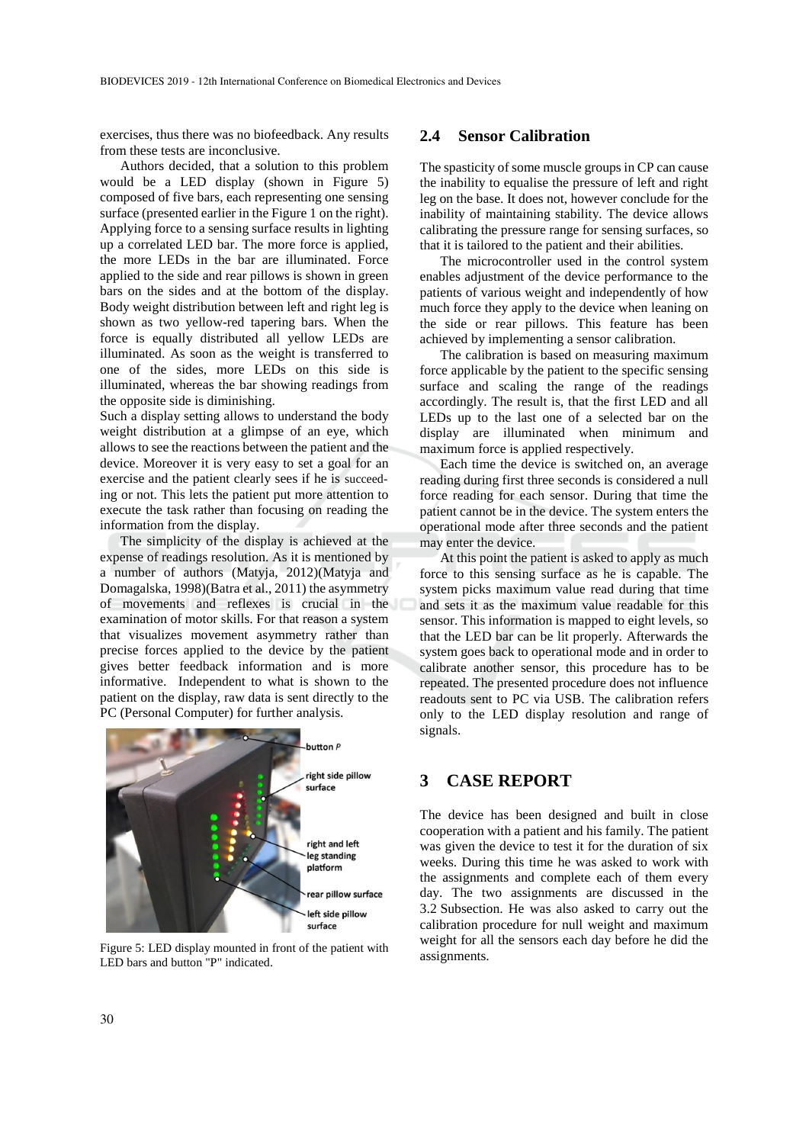exercises, thus there was no biofeedback. Any results from these tests are inconclusive.

Authors decided, that a solution to this problem would be a LED display (shown in Figure 5) composed of five bars, each representing one sensing surface (presented earlier in the Figure 1 on the right). Applying force to a sensing surface results in lighting up a correlated LED bar. The more force is applied, the more LEDs in the bar are illuminated. Force applied to the side and rear pillows is shown in green bars on the sides and at the bottom of the display. Body weight distribution between left and right leg is shown as two yellow-red tapering bars. When the force is equally distributed all yellow LEDs are illuminated. As soon as the weight is transferred to one of the sides, more LEDs on this side is illuminated, whereas the bar showing readings from the opposite side is diminishing.

Such a display setting allows to understand the body weight distribution at a glimpse of an eye, which allows to see the reactions between the patient and the device. Moreover it is very easy to set a goal for an exercise and the patient clearly sees if he is succeeding or not. This lets the patient put more attention to execute the task rather than focusing on reading the information from the display.

The simplicity of the display is achieved at the expense of readings resolution. As it is mentioned by a number of authors (Matyja, 2012)(Matyja and Domagalska, 1998)(Batra et al., 2011) the asymmetry of movements and reflexes is crucial in the examination of motor skills. For that reason a system that visualizes movement asymmetry rather than precise forces applied to the device by the patient gives better feedback information and is more informative. Independent to what is shown to the patient on the display, raw data is sent directly to the PC (Personal Computer) for further analysis.



Figure 5: LED display mounted in front of the patient with LED bars and button "P" indicated.

### **2.4 Sensor Calibration**

The spasticity of some muscle groups in CP can cause the inability to equalise the pressure of left and right leg on the base. It does not, however conclude for the inability of maintaining stability. The device allows calibrating the pressure range for sensing surfaces, so that it is tailored to the patient and their abilities.

The microcontroller used in the control system enables adjustment of the device performance to the patients of various weight and independently of how much force they apply to the device when leaning on the side or rear pillows. This feature has been achieved by implementing a sensor calibration.

The calibration is based on measuring maximum force applicable by the patient to the specific sensing surface and scaling the range of the readings accordingly. The result is, that the first LED and all LEDs up to the last one of a selected bar on the display are illuminated when minimum and maximum force is applied respectively.

Each time the device is switched on, an average reading during first three seconds is considered a null force reading for each sensor. During that time the patient cannot be in the device. The system enters the operational mode after three seconds and the patient may enter the device.

At this point the patient is asked to apply as much force to this sensing surface as he is capable. The system picks maximum value read during that time and sets it as the maximum value readable for this sensor. This information is mapped to eight levels, so that the LED bar can be lit properly. Afterwards the system goes back to operational mode and in order to calibrate another sensor, this procedure has to be repeated. The presented procedure does not influence readouts sent to PC via USB. The calibration refers only to the LED display resolution and range of signals.

### **3 CASE REPORT**

The device has been designed and built in close cooperation with a patient and his family. The patient was given the device to test it for the duration of six weeks. During this time he was asked to work with the assignments and complete each of them every day. The two assignments are discussed in the 3.2 Subsection. He was also asked to carry out the calibration procedure for null weight and maximum weight for all the sensors each day before he did the assignments.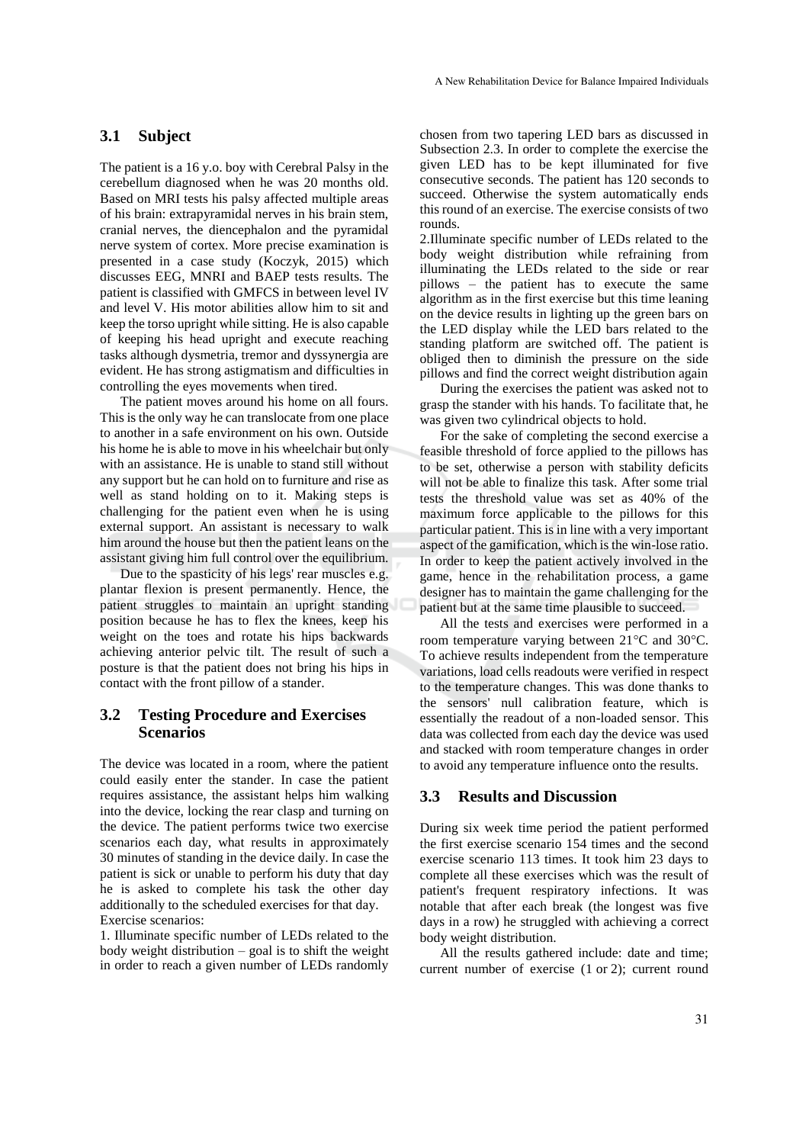#### **3.1 Subject**

The patient is a 16 y.o. boy with Cerebral Palsy in the cerebellum diagnosed when he was 20 months old. Based on MRI tests his palsy affected multiple areas of his brain: extrapyramidal nerves in his brain stem, cranial nerves, the diencephalon and the pyramidal nerve system of cortex. More precise examination is presented in a case study (Koczyk, 2015) which discusses EEG, MNRI and BAEP tests results. The patient is classified with GMFCS in between level IV and level V. His motor abilities allow him to sit and keep the torso upright while sitting. He is also capable of keeping his head upright and execute reaching tasks although dysmetria, tremor and dyssynergia are evident. He has strong astigmatism and difficulties in controlling the eyes movements when tired.

The patient moves around his home on all fours. This is the only way he can translocate from one place to another in a safe environment on his own. Outside his home he is able to move in his wheelchair but only with an assistance. He is unable to stand still without any support but he can hold on to furniture and rise as well as stand holding on to it. Making steps is challenging for the patient even when he is using external support. An assistant is necessary to walk him around the house but then the patient leans on the assistant giving him full control over the equilibrium.

Due to the spasticity of his legs' rear muscles e.g. plantar flexion is present permanently. Hence, the patient struggles to maintain an upright standing position because he has to flex the knees, keep his weight on the toes and rotate his hips backwards achieving anterior pelvic tilt. The result of such a posture is that the patient does not bring his hips in contact with the front pillow of a stander.

#### **3.2 Testing Procedure and Exercises Scenarios**

The device was located in a room, where the patient could easily enter the stander. In case the patient requires assistance, the assistant helps him walking into the device, locking the rear clasp and turning on the device. The patient performs twice two exercise scenarios each day, what results in approximately 30 minutes of standing in the device daily. In case the patient is sick or unable to perform his duty that day he is asked to complete his task the other day additionally to the scheduled exercises for that day. Exercise scenarios:

1. Illuminate specific number of LEDs related to the body weight distribution – goal is to shift the weight in order to reach a given number of LEDs randomly

chosen from two tapering LED bars as discussed in Subsection 2.3. In order to complete the exercise the given LED has to be kept illuminated for five consecutive seconds. The patient has 120 seconds to succeed. Otherwise the system automatically ends this round of an exercise. The exercise consists of two rounds.

2.Illuminate specific number of LEDs related to the body weight distribution while refraining from illuminating the LEDs related to the side or rear pillows – the patient has to execute the same algorithm as in the first exercise but this time leaning on the device results in lighting up the green bars on the LED display while the LED bars related to the standing platform are switched off. The patient is obliged then to diminish the pressure on the side pillows and find the correct weight distribution again

During the exercises the patient was asked not to grasp the stander with his hands. To facilitate that, he was given two cylindrical objects to hold.

For the sake of completing the second exercise a feasible threshold of force applied to the pillows has to be set, otherwise a person with stability deficits will not be able to finalize this task. After some trial tests the threshold value was set as 40% of the maximum force applicable to the pillows for this particular patient. This is in line with a very important aspect of the gamification, which is the win-lose ratio. In order to keep the patient actively involved in the game, hence in the rehabilitation process, a game designer has to maintain the game challenging for the patient but at the same time plausible to succeed.

All the tests and exercises were performed in a room temperature varying between  $21^{\circ}$ C and  $30^{\circ}$ C. To achieve results independent from the temperature variations, load cells readouts were verified in respect to the temperature changes. This was done thanks to the sensors' null calibration feature, which is essentially the readout of a non-loaded sensor. This data was collected from each day the device was used and stacked with room temperature changes in order to avoid any temperature influence onto the results.

#### **3.3 Results and Discussion**

During six week time period the patient performed the first exercise scenario 154 times and the second exercise scenario 113 times. It took him 23 days to complete all these exercises which was the result of patient's frequent respiratory infections. It was notable that after each break (the longest was five days in a row) he struggled with achieving a correct body weight distribution.

All the results gathered include: date and time; current number of exercise (1 or 2); current round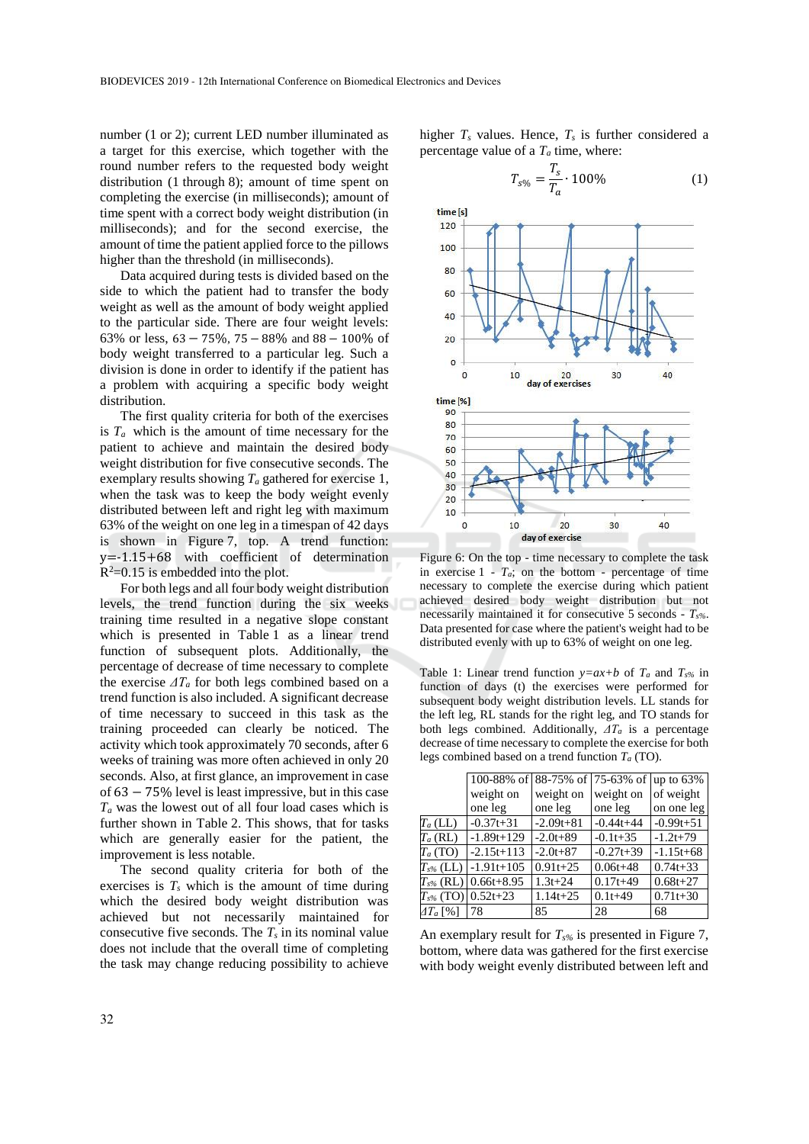number (1 or 2); current LED number illuminated as a target for this exercise, which together with the round number refers to the requested body weight distribution (1 through 8); amount of time spent on completing the exercise (in milliseconds); amount of time spent with a correct body weight distribution (in milliseconds); and for the second exercise, the amount of time the patient applied force to the pillows higher than the threshold (in milliseconds).

Data acquired during tests is divided based on the side to which the patient had to transfer the body weight as well as the amount of body weight applied to the particular side. There are four weight levels: 63% or less, 63−75%, 75 − 88% and 88 − 100% of body weight transferred to a particular leg. Such a division is done in order to identify if the patient has a problem with acquiring a specific body weight distribution.

The first quality criteria for both of the exercises is  $T_a$  which is the amount of time necessary for the patient to achieve and maintain the desired body weight distribution for five consecutive seconds. The exemplary results showing *T<sup>a</sup>* gathered for exercise 1, when the task was to keep the body weight evenly distributed between left and right leg with maximum 63% of the weight on one leg in a timespan of 42 days is shown in Figure 7, top. A trend function: y=-1.15+68 with coefficient of determination  $R^2$ =0.15 is embedded into the plot.

For both legs and all four body weight distribution levels, the trend function during the six weeks training time resulted in a negative slope constant which is presented in Table 1 as a linear trend function of subsequent plots. Additionally, the percentage of decrease of time necessary to complete the exercise  $\Delta T_a$  for both legs combined based on a trend function is also included. A significant decrease of time necessary to succeed in this task as the training proceeded can clearly be noticed. The activity which took approximately 70 seconds, after 6 weeks of training was more often achieved in only 20 seconds. Also, at first glance, an improvement in case of 63 − 75% level is least impressive, but in this case *T<sup>a</sup>* was the lowest out of all four load cases which is further shown in Table 2. This shows, that for tasks which are generally easier for the patient, the improvement is less notable.

The second quality criteria for both of the exercises is  $T_s$  which is the amount of time during which the desired body weight distribution was achieved but not necessarily maintained for consecutive five seconds. The  $T_s$  in its nominal value does not include that the overall time of completing the task may change reducing possibility to achieve higher  $T_s$  values. Hence,  $T_s$  is further considered a percentage value of a  $T_a$  time, where:

$$
T_{s\%} = \frac{T_s}{T_a} \cdot 100\%
$$
 (1)



Figure 6: On the top - time necessary to complete the task in exercise  $1 - T_a$ ; on the bottom - percentage of time necessary to complete the exercise during which patient achieved desired body weight distribution but not necessarily maintained it for consecutive 5 seconds - *Ts%*. Data presented for case where the patient's weight had to be distributed evenly with up to 63% of weight on one leg.

Table 1: Linear trend function  $y=ax+b$  of  $T_a$  and  $T_{s\%}$  in function of days (t) the exercises were performed for subsequent body weight distribution levels. LL stands for the left leg, RL stands for the right leg, and TO stands for both legs combined. Additionally, *ΔT<sup>a</sup>* is a percentage decrease of time necessary to complete the exercise for both legs combined based on a trend function *T<sup>a</sup>* (TO).

|                     | 100-88% of 88-75% of 75-63% of up to 63% |               |               |               |  |  |  |
|---------------------|------------------------------------------|---------------|---------------|---------------|--|--|--|
|                     | weight on                                | weight on     | weight on     | of weight     |  |  |  |
|                     | one leg                                  | one leg       | one leg       | on one leg    |  |  |  |
| $T_a$ (LL)          | $-0.37t + 31$                            | $-2.09t + 81$ | $-0.44t + 44$ | $-0.99t + 51$ |  |  |  |
| $T_a$ (RL)          | $-1.89t+129$                             | $-2.0t + 89$  | $-0.1t+35$    | $-1.2t+79$    |  |  |  |
| $T_a(TO)$           | $-2.15t+113$                             | $-2.0t + 87$  | $-0.27t+39$   | $-1.15t + 68$ |  |  |  |
| $T_{s\%}$ (LL)      | $-1.91t+105$                             | $0.91t + 25$  | $0.06t + 48$  | $0.74t + 33$  |  |  |  |
|                     | $T_{s\%}$ (RL)   0.66t+8.95              | $1.3t + 24$   | $0.17t + 49$  | $0.68t + 27$  |  |  |  |
|                     | $T_{s\%}$ (TO) 0.52t+23                  | $1.14t + 25$  | $0.1t + 49$   | $0.71t + 30$  |  |  |  |
| $\varDelta T_a$ [%] | 78                                       | 85            | 28            | 68            |  |  |  |

An exemplary result for *Ts%* is presented in Figure 7, bottom, where data was gathered for the first exercise with body weight evenly distributed between left and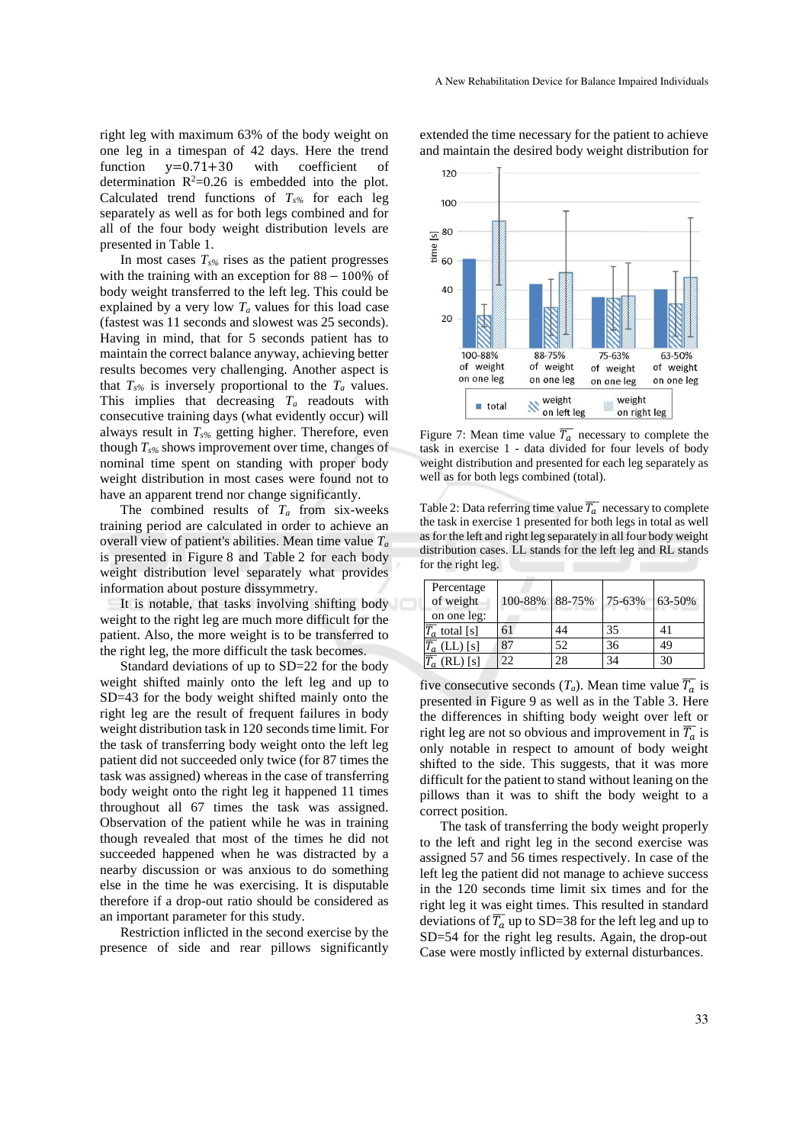right leg with maximum 63% of the body weight on one leg in a timespan of 42 days. Here the trend function y=0.71+30 with coefficient of determination  $R^2=0.26$  is embedded into the plot. Calculated trend functions of  $T<sub>s</sub>%$  for each leg separately as well as for both legs combined and for all of the four body weight distribution levels are presented in Table 1.

In most cases *Ts%* rises as the patient progresses with the training with an exception for 88 − 100% of body weight transferred to the left leg. This could be explained by a very low  $T_a$  values for this load case (fastest was 11 seconds and slowest was 25 seconds). Having in mind, that for 5 seconds patient has to maintain the correct balance anyway, achieving better results becomes very challenging. Another aspect is that  $T_{s\%}$  is inversely proportional to the  $T_a$  values. This implies that decreasing *T<sup>a</sup>* readouts with consecutive training days (what evidently occur) will always result in *Ts%* getting higher. Therefore, even though *Ts%* shows improvement over time, changes of nominal time spent on standing with proper body weight distribution in most cases were found not to have an apparent trend nor change significantly.

The combined results of  $T_a$  from six-weeks training period are calculated in order to achieve an overall view of patient's abilities. Mean time value *T<sup>a</sup>* is presented in Figure 8 and Table 2 for each body weight distribution level separately what provides information about posture dissymmetry.

It is notable, that tasks involving shifting body weight to the right leg are much more difficult for the patient. Also, the more weight is to be transferred to the right leg, the more difficult the task becomes.

Standard deviations of up to SD=22 for the body weight shifted mainly onto the left leg and up to SD=43 for the body weight shifted mainly onto the right leg are the result of frequent failures in body weight distribution task in 120 seconds time limit. For the task of transferring body weight onto the left leg patient did not succeeded only twice (for 87 times the task was assigned) whereas in the case of transferring body weight onto the right leg it happened 11 times throughout all 67 times the task was assigned. Observation of the patient while he was in training though revealed that most of the times he did not succeeded happened when he was distracted by a nearby discussion or was anxious to do something else in the time he was exercising. It is disputable therefore if a drop-out ratio should be considered as an important parameter for this study.

Restriction inflicted in the second exercise by the presence of side and rear pillows significantly

extended the time necessary for the patient to achieve and maintain the desired body weight distribution for



Figure 7: Mean time value  $\overline{T_a}$  necessary to complete the task in exercise 1 - data divided for four levels of body weight distribution and presented for each leg separately as well as for both legs combined (total).

Table 2: Data referring time value  $\overline{T_a}$  necessary to complete the task in exercise 1 presented for both legs in total as well as for the left and right leg separately in all four body weight distribution cases. LL stands for the left leg and RL stands for the right leg.

| Percentage<br>of weight<br>on one leg: | 100-88% 88-75% |    | 75-63% | 63-50% |
|----------------------------------------|----------------|----|--------|--------|
| $\overline{T_a}$ total [s]             | 61             | 44 | 35     | 41     |
| $\overline{T_a}$ (LL) [s]              |                | 52 | 36     | 49     |
| $T_a$ (RL) [s]                         |                |    | 34     | 30     |

five consecutive seconds  $(T_a)$ . Mean time value  $\overline{T_a}$  is presented in Figure 9 as well as in the Table 3. Here the differences in shifting body weight over left or right leg are not so obvious and improvement in  $\overline{T_a}$  is only notable in respect to amount of body weight shifted to the side. This suggests, that it was more difficult for the patient to stand without leaning on the pillows than it was to shift the body weight to a correct position.

The task of transferring the body weight properly to the left and right leg in the second exercise was assigned 57 and 56 times respectively. In case of the left leg the patient did not manage to achieve success in the 120 seconds time limit six times and for the right leg it was eight times. This resulted in standard deviations of  $\overline{T_a}$  up to SD=38 for the left leg and up to SD=54 for the right leg results. Again, the drop-out Case were mostly inflicted by external disturbances.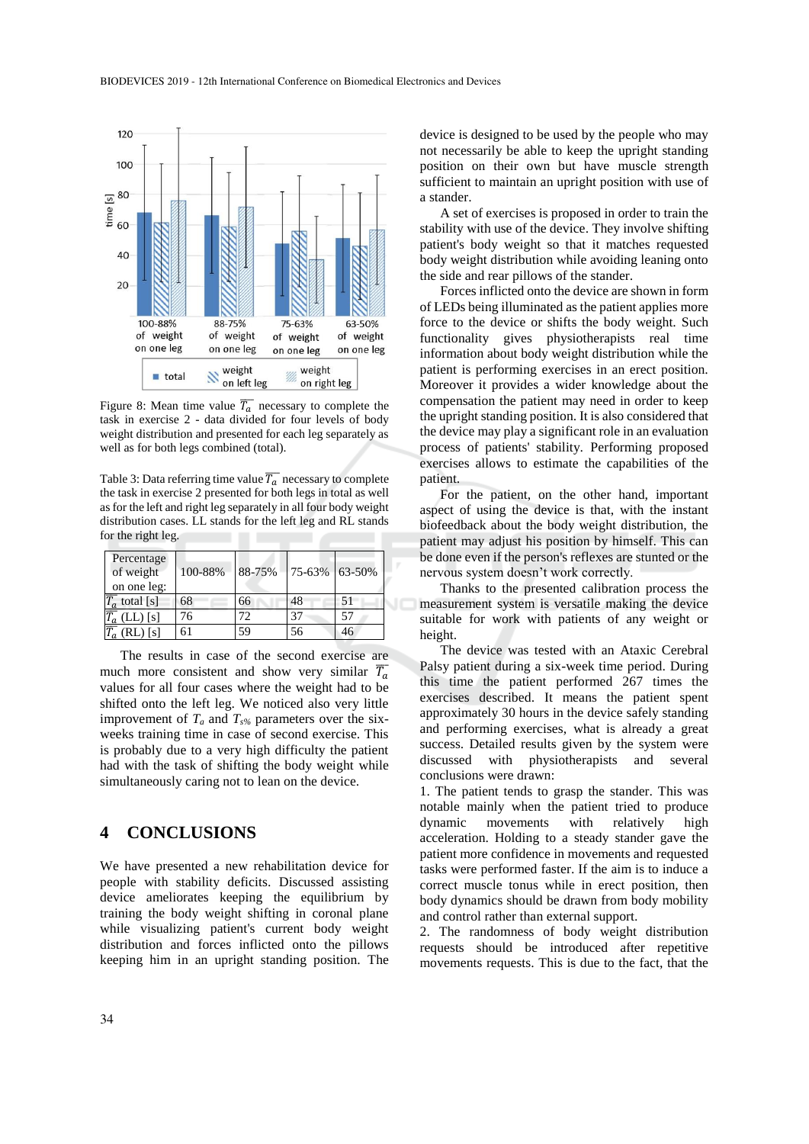

Figure 8: Mean time value  $\overline{T_a}$  necessary to complete the task in exercise 2 - data divided for four levels of body weight distribution and presented for each leg separately as well as for both legs combined (total).

Table 3: Data referring time value  $\overline{T_a}$  necessary to complete the task in exercise 2 presented for both legs in total as well as for the left and right leg separately in all four body weight distribution cases. LL stands for the left leg and RL stands for the right leg.

| Percentage<br>of weight<br>on one leg: | 100-88% | 88-75% | 75-63% 63-50% |    |
|----------------------------------------|---------|--------|---------------|----|
| $\overline{T_a}$ total [s]             | 68      | 66     | 48            | 51 |
| $\overline{T_a}$ (LL) [s]              | 76      | 72     | 37            | 57 |
| $(RL)$ [s]                             | 61      | 59     | 56            | 46 |

The results in case of the second exercise are much more consistent and show very similar  $\overline{T_a}$ values for all four cases where the weight had to be shifted onto the left leg. We noticed also very little improvement of *T<sup>a</sup>* and *Ts%* parameters over the sixweeks training time in case of second exercise. This is probably due to a very high difficulty the patient had with the task of shifting the body weight while simultaneously caring not to lean on the device.

### **4 CONCLUSIONS**

We have presented a new rehabilitation device for people with stability deficits. Discussed assisting device ameliorates keeping the equilibrium by training the body weight shifting in coronal plane while visualizing patient's current body weight distribution and forces inflicted onto the pillows keeping him in an upright standing position. The

device is designed to be used by the people who may not necessarily be able to keep the upright standing position on their own but have muscle strength sufficient to maintain an upright position with use of a stander.

A set of exercises is proposed in order to train the stability with use of the device. They involve shifting patient's body weight so that it matches requested body weight distribution while avoiding leaning onto the side and rear pillows of the stander.

Forces inflicted onto the device are shown in form of LEDs being illuminated as the patient applies more force to the device or shifts the body weight. Such functionality gives physiotherapists real time information about body weight distribution while the patient is performing exercises in an erect position. Moreover it provides a wider knowledge about the compensation the patient may need in order to keep the upright standing position. It is also considered that the device may play a significant role in an evaluation process of patients' stability. Performing proposed exercises allows to estimate the capabilities of the patient.

For the patient, on the other hand, important aspect of using the device is that, with the instant biofeedback about the body weight distribution, the patient may adjust his position by himself. This can be done even if the person's reflexes are stunted or the nervous system doesn't work correctly.

Thanks to the presented calibration process the measurement system is versatile making the device suitable for work with patients of any weight or height.

The device was tested with an Ataxic Cerebral Palsy patient during a six-week time period. During this time the patient performed 267 times the exercises described. It means the patient spent approximately 30 hours in the device safely standing and performing exercises, what is already a great success. Detailed results given by the system were discussed with physiotherapists and several conclusions were drawn:

1. The patient tends to grasp the stander. This was notable mainly when the patient tried to produce dynamic movements with relatively high acceleration. Holding to a steady stander gave the patient more confidence in movements and requested tasks were performed faster. If the aim is to induce a correct muscle tonus while in erect position, then body dynamics should be drawn from body mobility and control rather than external support.

2. The randomness of body weight distribution requests should be introduced after repetitive movements requests. This is due to the fact, that the